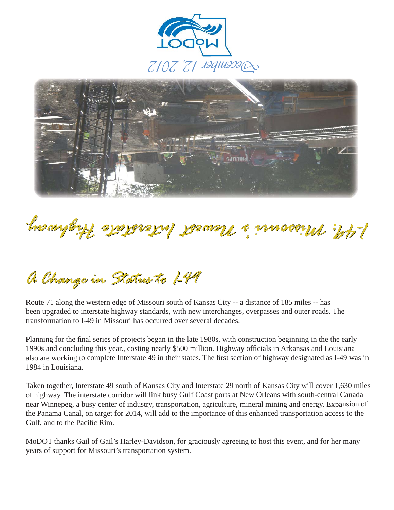



## *yawhgi H et atsret nI tse we N s 'ir uossi M : 94-IMissouri's Newest Interstate Highway*

## *A Change in Status to I-49*

Route 71 along the western edge of Missouri south of Kansas City -- a distance of 185 miles -- has been upgraded to interstate highway standards, with new interchanges, overpasses and outer roads. The transformation to I-49 in Missouri has occurred over several decades.

Planning for the final series of projects began in the late 1980s, with construction beginning in the the early 1990s and concluding this year., costing nearly \$500 million. Highway officials in Arkansas and Louisiana also are working to complete Interstate 49 in their states. The first section of highway designated as I-49 was in 1984 in Louisiana.

Taken together, Interstate 49 south of Kansas City and Interstate 29 north of Kansas City will cover 1,630 miles of highway. The interstate corridor will link busy Gulf Coast ports at New Orleans with south-central Canada near Winnepeg, a busy center of industry, transportation, agriculture, mineral mining and energy. Expansion of the Panama Canal, on target for 2014, will add to the importance of this enhanced transportation access to the Gulf, and to the Pacific Rim.

MoDOT thanks Gail of Gail's Harley-Davidson, for graciously agreeing to host this event, and for her many years of support for Missouri's transportation system.